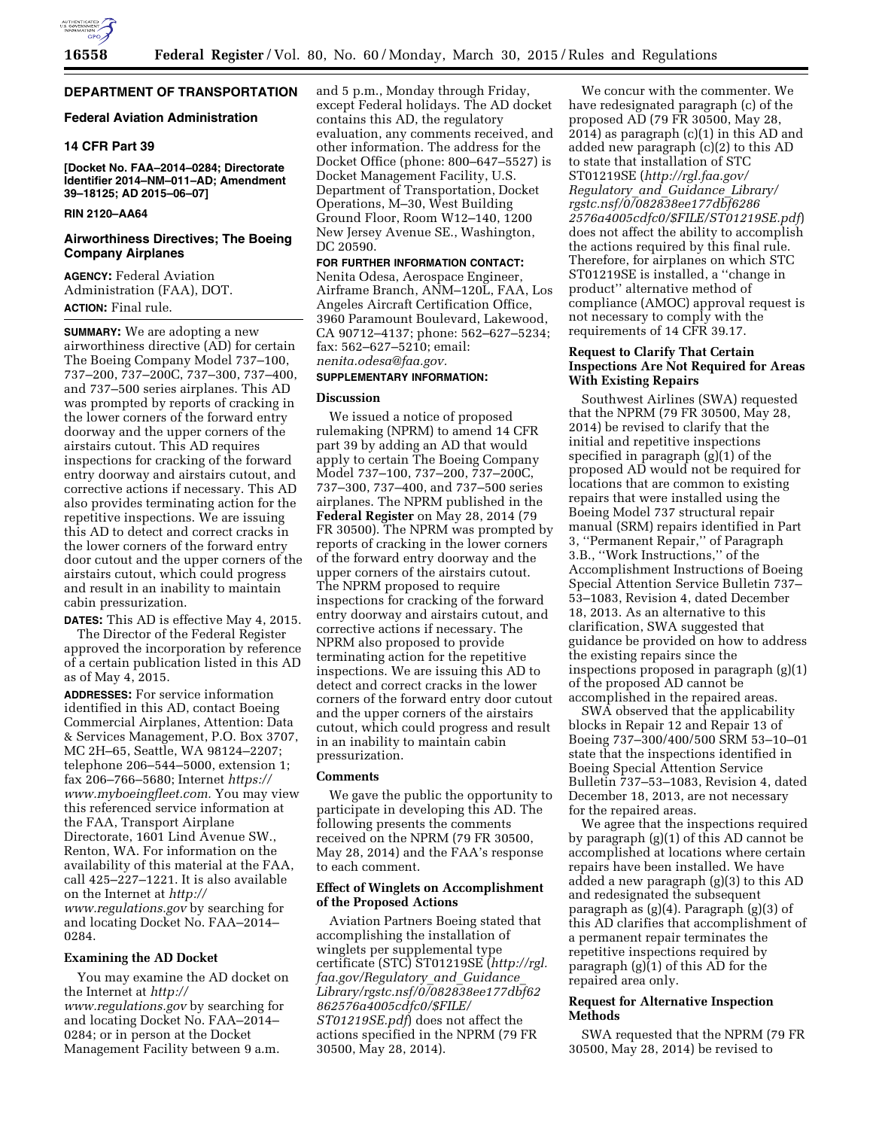

# **DEPARTMENT OF TRANSPORTATION**

### **Federal Aviation Administration**

### **14 CFR Part 39**

**[Docket No. FAA–2014–0284; Directorate Identifier 2014–NM–011–AD; Amendment 39–18125; AD 2015–06–07]** 

# **RIN 2120–AA64**

### **Airworthiness Directives; The Boeing Company Airplanes**

**AGENCY:** Federal Aviation Administration (FAA), DOT. **ACTION:** Final rule.

**SUMMARY:** We are adopting a new airworthiness directive (AD) for certain The Boeing Company Model 737–100, 737–200, 737–200C, 737–300, 737–400, and 737–500 series airplanes. This AD was prompted by reports of cracking in the lower corners of the forward entry doorway and the upper corners of the airstairs cutout. This AD requires inspections for cracking of the forward entry doorway and airstairs cutout, and corrective actions if necessary. This AD also provides terminating action for the repetitive inspections. We are issuing this AD to detect and correct cracks in the lower corners of the forward entry door cutout and the upper corners of the airstairs cutout, which could progress and result in an inability to maintain cabin pressurization.

**DATES:** This AD is effective May 4, 2015.

The Director of the Federal Register approved the incorporation by reference of a certain publication listed in this AD as of May 4, 2015.

**ADDRESSES:** For service information identified in this AD, contact Boeing Commercial Airplanes, Attention: Data & Services Management, P.O. Box 3707, MC 2H–65, Seattle, WA 98124–2207; telephone 206–544–5000, extension 1; fax 206–766–5680; Internet *[https://](https://www.myboeingfleet.com) [www.myboeingfleet.com.](https://www.myboeingfleet.com)* You may view this referenced service information at the FAA, Transport Airplane Directorate, 1601 Lind Avenue SW., Renton, WA. For information on the availability of this material at the FAA, call 425–227–1221. It is also available on the Internet at *[http://](http://www.regulations.gov) [www.regulations.gov](http://www.regulations.gov)* by searching for and locating Docket No. FAA–2014– 0284.

### **Examining the AD Docket**

You may examine the AD docket on the Internet at *[http://](http://www.regulations.gov) [www.regulations.gov](http://www.regulations.gov)* by searching for and locating Docket No. FAA–2014– 0284; or in person at the Docket Management Facility between 9 a.m.

and 5 p.m., Monday through Friday, except Federal holidays. The AD docket contains this AD, the regulatory evaluation, any comments received, and other information. The address for the Docket Office (phone: 800–647–5527) is Docket Management Facility, U.S. Department of Transportation, Docket Operations, M–30, West Building Ground Floor, Room W12–140, 1200 New Jersey Avenue SE., Washington, DC 20590.

#### **FOR FURTHER INFORMATION CONTACT:**

Nenita Odesa, Aerospace Engineer, Airframe Branch, ANM–120L, FAA, Los Angeles Aircraft Certification Office, 3960 Paramount Boulevard, Lakewood, CA 90712–4137; phone: 562–627–5234; fax: 562–627–5210; email: *[nenita.odesa@faa.gov.](mailto:nenita.odesa@faa.gov)* 

# **SUPPLEMENTARY INFORMATION:**

### **Discussion**

We issued a notice of proposed rulemaking (NPRM) to amend 14 CFR part 39 by adding an AD that would apply to certain The Boeing Company Model 737–100, 737–200, 737–200C, 737–300, 737–400, and 737–500 series airplanes. The NPRM published in the **Federal Register** on May 28, 2014 (79 FR 30500). The NPRM was prompted by reports of cracking in the lower corners of the forward entry doorway and the upper corners of the airstairs cutout. The NPRM proposed to require inspections for cracking of the forward entry doorway and airstairs cutout, and corrective actions if necessary. The NPRM also proposed to provide terminating action for the repetitive inspections. We are issuing this AD to detect and correct cracks in the lower corners of the forward entry door cutout and the upper corners of the airstairs cutout, which could progress and result in an inability to maintain cabin pressurization.

#### **Comments**

We gave the public the opportunity to participate in developing this AD. The following presents the comments received on the NPRM (79 FR 30500, May 28, 2014) and the FAA's response to each comment.

### **Effect of Winglets on Accomplishment of the Proposed Actions**

Aviation Partners Boeing stated that accomplishing the installation of winglets per supplemental type certificate (STC) ST01219SE (*[http://rgl.](http://rgl.faa.gov/Regulatory_and_Guidance_Library/rgstc.nsf/0/082838ee177dbf62862576a4005cdfc0/$FILE/ST01219SE.pdf) [faa.gov/Regulatory](http://rgl.faa.gov/Regulatory_and_Guidance_Library/rgstc.nsf/0/082838ee177dbf62862576a4005cdfc0/$FILE/ST01219SE.pdf)*\_*and*\_*Guidance*\_ *[Library/rgstc.nsf/0/082838ee177dbf62](http://rgl.faa.gov/Regulatory_and_Guidance_Library/rgstc.nsf/0/082838ee177dbf62862576a4005cdfc0/$FILE/ST01219SE.pdf) [862576a4005cdfc0/\\$FILE/](http://rgl.faa.gov/Regulatory_and_Guidance_Library/rgstc.nsf/0/082838ee177dbf62862576a4005cdfc0/$FILE/ST01219SE.pdf) [ST01219SE.pdf](http://rgl.faa.gov/Regulatory_and_Guidance_Library/rgstc.nsf/0/082838ee177dbf62862576a4005cdfc0/$FILE/ST01219SE.pdf)*) does not affect the actions specified in the NPRM (79 FR 30500, May 28, 2014).

We concur with the commenter. We have redesignated paragraph (c) of the proposed AD (79 FR 30500, May 28, 2014) as paragraph (c)(1) in this AD and added new paragraph (c)(2) to this AD to state that installation of STC ST01219SE (*[http://rgl.faa.gov/](http://rgl.faa.gov/Regulatory_and_Guidance_Library/rgstc.nsf/0/082838ee177dbf62862576a4005cdfc0/$FILE/ST01219SE.pdf) [Regulatory](http://rgl.faa.gov/Regulatory_and_Guidance_Library/rgstc.nsf/0/082838ee177dbf62862576a4005cdfc0/$FILE/ST01219SE.pdf)*\_*and*\_*Guidance*\_*Library/ [rgstc.nsf/0/082838ee177dbf6286](http://rgl.faa.gov/Regulatory_and_Guidance_Library/rgstc.nsf/0/082838ee177dbf62862576a4005cdfc0/$FILE/ST01219SE.pdf) [2576a4005cdfc0/\\$FILE/ST01219SE.pdf](http://rgl.faa.gov/Regulatory_and_Guidance_Library/rgstc.nsf/0/082838ee177dbf62862576a4005cdfc0/$FILE/ST01219SE.pdf)*) does not affect the ability to accomplish the actions required by this final rule. Therefore, for airplanes on which STC ST01219SE is installed, a ''change in product'' alternative method of compliance (AMOC) approval request is not necessary to comply with the requirements of 14 CFR 39.17.

### **Request to Clarify That Certain Inspections Are Not Required for Areas With Existing Repairs**

Southwest Airlines (SWA) requested that the NPRM (79 FR 30500, May 28, 2014) be revised to clarify that the initial and repetitive inspections specified in paragraph (g)(1) of the proposed AD would not be required for locations that are common to existing repairs that were installed using the Boeing Model 737 structural repair manual (SRM) repairs identified in Part 3, ''Permanent Repair,'' of Paragraph 3.B., ''Work Instructions,'' of the Accomplishment Instructions of Boeing Special Attention Service Bulletin 737– 53–1083, Revision 4, dated December 18, 2013. As an alternative to this clarification, SWA suggested that guidance be provided on how to address the existing repairs since the inspections proposed in paragraph (g)(1) of the proposed AD cannot be accomplished in the repaired areas.

SWA observed that the applicability blocks in Repair 12 and Repair 13 of Boeing 737–300/400/500 SRM 53–10–01 state that the inspections identified in Boeing Special Attention Service Bulletin 737–53–1083, Revision 4, dated December 18, 2013, are not necessary for the repaired areas.

We agree that the inspections required by paragraph (g)(1) of this AD cannot be accomplished at locations where certain repairs have been installed. We have added a new paragraph (g)(3) to this AD and redesignated the subsequent paragraph as (g)(4). Paragraph (g)(3) of this AD clarifies that accomplishment of a permanent repair terminates the repetitive inspections required by paragraph (g)(1) of this AD for the repaired area only.

### **Request for Alternative Inspection Methods**

SWA requested that the NPRM (79 FR 30500, May 28, 2014) be revised to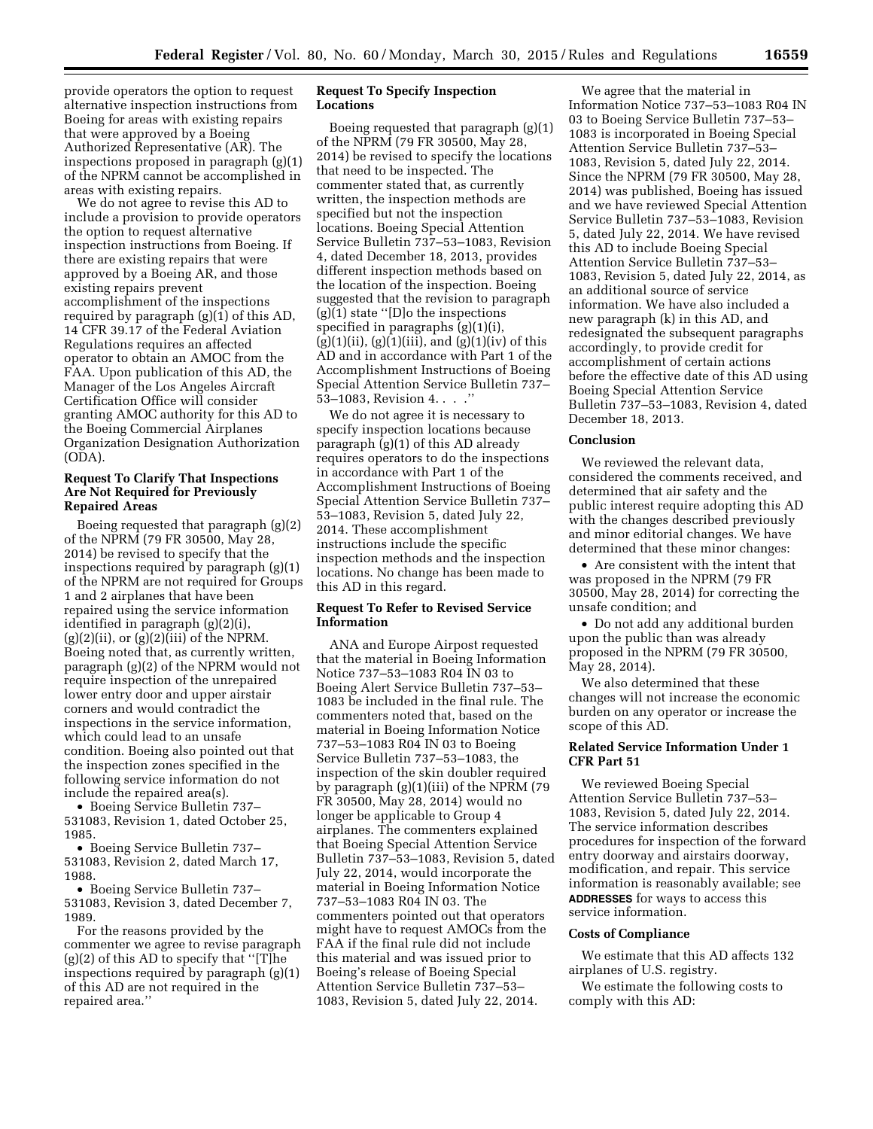provide operators the option to request alternative inspection instructions from Boeing for areas with existing repairs that were approved by a Boeing Authorized Representative (AR). The inspections proposed in paragraph (g)(1) of the NPRM cannot be accomplished in areas with existing repairs.

We do not agree to revise this AD to include a provision to provide operators the option to request alternative inspection instructions from Boeing. If there are existing repairs that were approved by a Boeing AR, and those existing repairs prevent accomplishment of the inspections required by paragraph (g)(1) of this AD, 14 CFR 39.17 of the Federal Aviation Regulations requires an affected operator to obtain an AMOC from the FAA. Upon publication of this AD, the Manager of the Los Angeles Aircraft Certification Office will consider granting AMOC authority for this AD to the Boeing Commercial Airplanes Organization Designation Authorization (ODA).

### **Request To Clarify That Inspections Are Not Required for Previously Repaired Areas**

Boeing requested that paragraph (g)(2) of the NPRM (79 FR 30500, May 28, 2014) be revised to specify that the inspections required by paragraph (g)(1) of the NPRM are not required for Groups 1 and 2 airplanes that have been repaired using the service information identified in paragraph (g)(2)(i),  $(g)(2)(ii)$ , or  $(g)(2)(iii)$  of the NPRM. Boeing noted that, as currently written, paragraph (g)(2) of the NPRM would not require inspection of the unrepaired lower entry door and upper airstair corners and would contradict the inspections in the service information, which could lead to an unsafe condition. Boeing also pointed out that the inspection zones specified in the following service information do not include the repaired area(s).

• Boeing Service Bulletin 737– 531083, Revision 1, dated October 25, 1985.

• Boeing Service Bulletin 737– 531083, Revision 2, dated March 17, 1988.

• Boeing Service Bulletin 737– 531083, Revision 3, dated December 7, 1989.

For the reasons provided by the commenter we agree to revise paragraph  $(g)(2)$  of this AD to specify that "[T]he inspections required by paragraph (g)(1) of this AD are not required in the repaired area.''

### **Request To Specify Inspection Locations**

Boeing requested that paragraph (g)(1) of the NPRM (79 FR 30500, May 28, 2014) be revised to specify the locations that need to be inspected. The commenter stated that, as currently written, the inspection methods are specified but not the inspection locations. Boeing Special Attention Service Bulletin 737–53–1083, Revision 4, dated December 18, 2013, provides different inspection methods based on the location of the inspection. Boeing suggested that the revision to paragraph  $(g)(1)$  state "[D]o the inspections specified in paragraphs (g)(1)(i),  $(g)(1)(ii)$ ,  $(g)(1)(iii)$ , and  $(g)(1)(iv)$  of this AD and in accordance with Part 1 of the Accomplishment Instructions of Boeing Special Attention Service Bulletin 737– 53–1083, Revision 4. . . .''

We do not agree it is necessary to specify inspection locations because paragraph (g)(1) of this AD already requires operators to do the inspections in accordance with Part 1 of the Accomplishment Instructions of Boeing Special Attention Service Bulletin 737– 53–1083, Revision 5, dated July 22, 2014. These accomplishment instructions include the specific inspection methods and the inspection locations. No change has been made to this AD in this regard.

### **Request To Refer to Revised Service Information**

ANA and Europe Airpost requested that the material in Boeing Information Notice 737–53–1083 R04 IN 03 to Boeing Alert Service Bulletin 737–53– 1083 be included in the final rule. The commenters noted that, based on the material in Boeing Information Notice 737–53–1083 R04 IN 03 to Boeing Service Bulletin 737–53–1083, the inspection of the skin doubler required by paragraph (g)(1)(iii) of the NPRM (79 FR 30500, May 28, 2014) would no longer be applicable to Group 4 airplanes. The commenters explained that Boeing Special Attention Service Bulletin 737–53–1083, Revision 5, dated July 22, 2014, would incorporate the material in Boeing Information Notice 737–53–1083 R04 IN 03. The commenters pointed out that operators might have to request AMOCs from the FAA if the final rule did not include this material and was issued prior to Boeing's release of Boeing Special Attention Service Bulletin 737–53– 1083, Revision 5, dated July 22, 2014.

We agree that the material in Information Notice 737–53–1083 R04 IN 03 to Boeing Service Bulletin 737–53– 1083 is incorporated in Boeing Special Attention Service Bulletin 737–53– 1083, Revision 5, dated July 22, 2014. Since the NPRM (79 FR 30500, May 28, 2014) was published, Boeing has issued and we have reviewed Special Attention Service Bulletin 737–53–1083, Revision 5, dated July 22, 2014. We have revised this AD to include Boeing Special Attention Service Bulletin 737–53– 1083, Revision 5, dated July 22, 2014, as an additional source of service information. We have also included a new paragraph (k) in this AD, and redesignated the subsequent paragraphs accordingly, to provide credit for accomplishment of certain actions before the effective date of this AD using Boeing Special Attention Service Bulletin 737–53–1083, Revision 4, dated December 18, 2013.

### **Conclusion**

We reviewed the relevant data, considered the comments received, and determined that air safety and the public interest require adopting this AD with the changes described previously and minor editorial changes. We have determined that these minor changes:

• Are consistent with the intent that was proposed in the NPRM (79 FR 30500, May 28, 2014) for correcting the unsafe condition; and

• Do not add any additional burden upon the public than was already proposed in the NPRM (79 FR 30500, May 28, 2014).

We also determined that these changes will not increase the economic burden on any operator or increase the scope of this AD.

### **Related Service Information Under 1 CFR Part 51**

We reviewed Boeing Special Attention Service Bulletin 737–53– 1083, Revision 5, dated July 22, 2014. The service information describes procedures for inspection of the forward entry doorway and airstairs doorway, modification, and repair. This service information is reasonably available; see **ADDRESSES** for ways to access this service information.

### **Costs of Compliance**

We estimate that this AD affects 132 airplanes of U.S. registry.

We estimate the following costs to comply with this AD: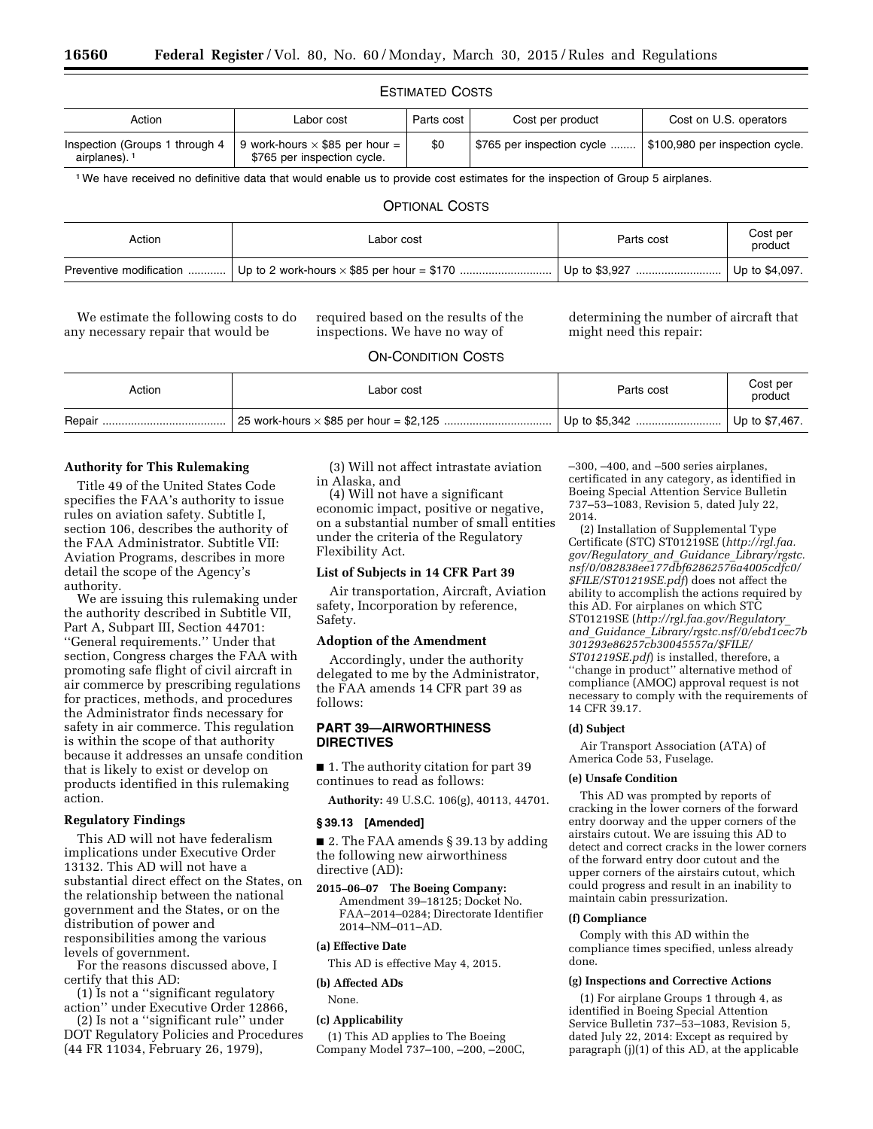### ESTIMATED COSTS

| Action                                        | Labor cost                                                                         | Parts cost | Cost per product                                             | Cost on U.S. operators |
|-----------------------------------------------|------------------------------------------------------------------------------------|------------|--------------------------------------------------------------|------------------------|
| Inspection (Groups 1 through 4<br>airplanes). | $\frac{1}{2}$ 9 work-hours $\times$ \$85 per hour =<br>\$765 per inspection cycle. | \$0        | S765 per inspection cycle    \$100,980 per inspection cycle. |                        |

1We have received no definitive data that would enable us to provide cost estimates for the inspection of Group 5 airplanes.

| <b>OPTIONAL COSTS</b> |  |  |
|-----------------------|--|--|
|-----------------------|--|--|

| Action | Labor cost | Parts cost | Cost per<br>product |
|--------|------------|------------|---------------------|
|        |            |            |                     |

We estimate the following costs to do any necessary repair that would be

required based on the results of the inspections. We have no way of

determining the number of aircraft that might need this repair:

# ON-CONDITION COSTS

| Action | Labor cost | Parts cost | Cost per<br>product |
|--------|------------|------------|---------------------|
|        |            |            | Up to \$7,467.      |

# **Authority for This Rulemaking**

Title 49 of the United States Code specifies the FAA's authority to issue rules on aviation safety. Subtitle I, section 106, describes the authority of the FAA Administrator. Subtitle VII: Aviation Programs, describes in more detail the scope of the Agency's authority.

We are issuing this rulemaking under the authority described in Subtitle VII, Part A, Subpart III, Section 44701: ''General requirements.'' Under that section, Congress charges the FAA with promoting safe flight of civil aircraft in air commerce by prescribing regulations for practices, methods, and procedures the Administrator finds necessary for safety in air commerce. This regulation is within the scope of that authority because it addresses an unsafe condition that is likely to exist or develop on products identified in this rulemaking action.

### **Regulatory Findings**

This AD will not have federalism implications under Executive Order 13132. This AD will not have a substantial direct effect on the States, on the relationship between the national government and the States, or on the distribution of power and responsibilities among the various levels of government.

For the reasons discussed above, I certify that this AD:

(1) Is not a ''significant regulatory action'' under Executive Order 12866,

(2) Is not a ''significant rule'' under DOT Regulatory Policies and Procedures (44 FR 11034, February 26, 1979),

(3) Will not affect intrastate aviation in Alaska, and

(4) Will not have a significant economic impact, positive or negative, on a substantial number of small entities under the criteria of the Regulatory Flexibility Act.

### **List of Subjects in 14 CFR Part 39**

Air transportation, Aircraft, Aviation safety, Incorporation by reference, Safety.

#### **Adoption of the Amendment**

Accordingly, under the authority delegated to me by the Administrator, the FAA amends 14 CFR part 39 as follows:

# **PART 39—AIRWORTHINESS DIRECTIVES**

■ 1. The authority citation for part 39 continues to read as follows:

**Authority:** 49 U.S.C. 106(g), 40113, 44701.

#### **§ 39.13 [Amended]**

■ 2. The FAA amends § 39.13 by adding the following new airworthiness directive (AD):

**2015–06–07 The Boeing Company:**  Amendment 39–18125; Docket No. FAA–2014–0284; Directorate Identifier 2014–NM–011–AD.

### **(a) Effective Date**

This AD is effective May 4, 2015.

**(b) Affected ADs** 

None.

### **(c) Applicability**

(1) This AD applies to The Boeing Company Model 737–100, –200, –200C, –300, –400, and –500 series airplanes, certificated in any category, as identified in Boeing Special Attention Service Bulletin 737–53–1083, Revision 5, dated July 22, 2014.

(2) Installation of Supplemental Type Certificate (STC) ST01219SE (*[http://rgl.faa.](http://rgl.faa.gov/Regulatory_and_Guidance_Library/rgstc.nsf/0/082838ee177dbf62862576a4005cdfc0/$FILE/ST01219SE.pdf) [gov/Regulatory](http://rgl.faa.gov/Regulatory_and_Guidance_Library/rgstc.nsf/0/082838ee177dbf62862576a4005cdfc0/$FILE/ST01219SE.pdf)*\_*and*\_*Guidance*\_*Library/rgstc. [nsf/0/082838ee177dbf62862576a4005cdfc0/](http://rgl.faa.gov/Regulatory_and_Guidance_Library/rgstc.nsf/0/082838ee177dbf62862576a4005cdfc0/$FILE/ST01219SE.pdf) [\\$FILE/ST01219SE.pdf](http://rgl.faa.gov/Regulatory_and_Guidance_Library/rgstc.nsf/0/082838ee177dbf62862576a4005cdfc0/$FILE/ST01219SE.pdf)*) does not affect the ability to accomplish the actions required by this AD. For airplanes on which STC ST01219SE (*[http://rgl.faa.gov/Regulatory](http://rgl.faa.gov/Regulatory_and_Guidance_Library/rgstc.nsf/0/ebd1cec7b301293e86257cb30045557a/$FILE/ST01219SE.pdf)*\_ *and*\_*Guidance*\_*[Library/rgstc.nsf/0/ebd1cec7b](http://rgl.faa.gov/Regulatory_and_Guidance_Library/rgstc.nsf/0/ebd1cec7b301293e86257cb30045557a/$FILE/ST01219SE.pdf) [301293e86257cb30045557a/\\$FILE/](http://rgl.faa.gov/Regulatory_and_Guidance_Library/rgstc.nsf/0/ebd1cec7b301293e86257cb30045557a/$FILE/ST01219SE.pdf) [ST01219SE.pdf](http://rgl.faa.gov/Regulatory_and_Guidance_Library/rgstc.nsf/0/ebd1cec7b301293e86257cb30045557a/$FILE/ST01219SE.pdf)*) is installed, therefore, a ''change in product'' alternative method of compliance (AMOC) approval request is not necessary to comply with the requirements of 14 CFR 39.17.

#### **(d) Subject**

Air Transport Association (ATA) of America Code 53, Fuselage.

#### **(e) Unsafe Condition**

This AD was prompted by reports of cracking in the lower corners of the forward entry doorway and the upper corners of the airstairs cutout. We are issuing this AD to detect and correct cracks in the lower corners of the forward entry door cutout and the upper corners of the airstairs cutout, which could progress and result in an inability to maintain cabin pressurization.

#### **(f) Compliance**

Comply with this AD within the compliance times specified, unless already done.

#### **(g) Inspections and Corrective Actions**

(1) For airplane Groups 1 through 4, as identified in Boeing Special Attention Service Bulletin 737–53–1083, Revision 5, dated July 22, 2014: Except as required by paragraph (j)(1) of this AD, at the applicable